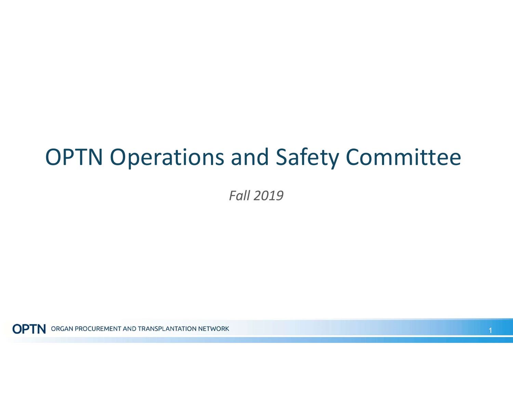## OPTN Operations and Safety Committee

Fall 2019

**OPTN** ORGAN PROCUREMENT AND TRANSPLANTATION NETWORK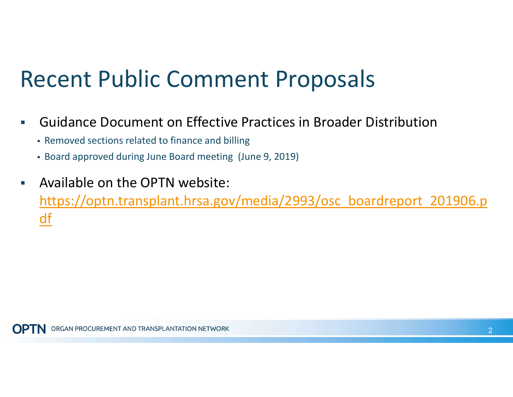## Recent Public Comment Proposals

- Guidance Document on Effective Practices in Broader Distribution
	- Removed sections related to finance and billing
	- Board approved during June Board meeting (June 9, 2019)
- Available on the OPTN website: [https://optn.transplant.hrsa.gov/media/2993/osc\\_boardreport\\_201906.p](https://optn.transplant.hrsa.gov/media/2993/osc_boardreport_201906.p) <u>df</u>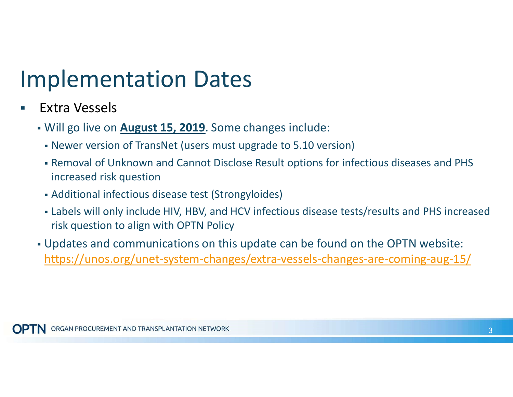## Implementation Dates

- **Extra Vessels** 
	- Will go live on **August 15, 2019**. Some changes include:
		- Newer version of TransNet (users must upgrade to 5.10 version)
		- Removal of Unknown and Cannot Disclose Result options for infectious diseases and PHS increased risk question
		- Additional infectious disease test (Strongyloides)
		- Labels will only include HIV, HBV, and HCV infectious disease tests/results and PHS increased risk question to align with OPTN Policy
	- Updates and communications on this update can be found on the OPTN website: [https://unos.org/unet-system-changes/extra-vessels-changes-are-coming-aug-15/](https://unos.org/unet-system-changes/extra-vessels-changes-are-coming-aug-15)